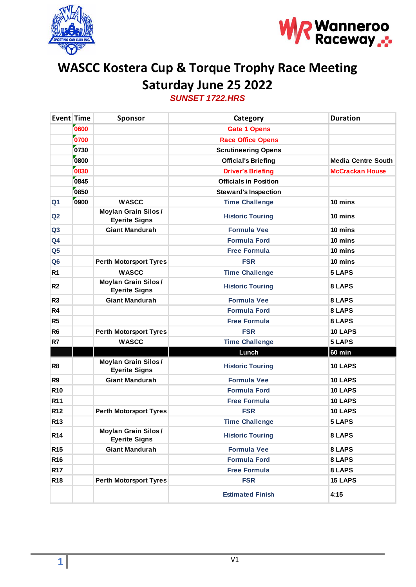



## **WASCC Kostera Cup & Torque Trophy Race Meeting Saturday June 25 2022** *SUNSET 1722.HRS*

| Event Time      |      | Sponsor                                            | Category                     | <b>Duration</b>           |
|-----------------|------|----------------------------------------------------|------------------------------|---------------------------|
|                 | 0600 |                                                    | <b>Gate 1 Opens</b>          |                           |
|                 | 0700 |                                                    | <b>Race Office Opens</b>     |                           |
|                 | 0730 |                                                    | <b>Scrutineering Opens</b>   |                           |
|                 | 0800 |                                                    | <b>Official's Briefing</b>   | <b>Media Centre South</b> |
|                 | 0830 |                                                    | <b>Driver's Briefing</b>     | <b>McCrackan House</b>    |
|                 | 0845 |                                                    | <b>Officials in Position</b> |                           |
|                 | 0850 |                                                    | <b>Steward's Inspection</b>  |                           |
| Q <sub>1</sub>  | 0900 | <b>WASCC</b>                                       | <b>Time Challenge</b>        | 10 mins                   |
| Q2              |      | <b>Moylan Grain Silos/</b><br><b>Eyerite Signs</b> | <b>Historic Touring</b>      | 10 mins                   |
| Q3              |      | <b>Giant Mandurah</b>                              | <b>Formula Vee</b>           | 10 mins                   |
| Q <sub>4</sub>  |      |                                                    | <b>Formula Ford</b>          | 10 mins                   |
| Q <sub>5</sub>  |      |                                                    | <b>Free Formula</b>          | 10 mins                   |
| Q <sub>6</sub>  |      | <b>Perth Motorsport Tyres</b>                      | <b>FSR</b>                   | 10 mins                   |
| R <sub>1</sub>  |      | <b>WASCC</b>                                       | <b>Time Challenge</b>        | 5 LAPS                    |
| R <sub>2</sub>  |      | <b>Moylan Grain Silos/</b><br><b>Eyerite Signs</b> | <b>Historic Touring</b>      | 8 LAPS                    |
| R <sub>3</sub>  |      | <b>Giant Mandurah</b>                              | <b>Formula Vee</b>           | 8 LAPS                    |
| R4              |      |                                                    | <b>Formula Ford</b>          | 8 LAPS                    |
| R <sub>5</sub>  |      |                                                    | <b>Free Formula</b>          | 8 LAPS                    |
| R <sub>6</sub>  |      | <b>Perth Motorsport Tyres</b>                      | <b>FSR</b>                   | 10 LAPS                   |
| R7              |      | <b>WASCC</b>                                       | <b>Time Challenge</b>        | 5 LAPS                    |
|                 |      |                                                    | Lunch                        | <b>60 min</b>             |
| R <sub>8</sub>  |      | <b>Moylan Grain Silos/</b><br><b>Eyerite Signs</b> | <b>Historic Touring</b>      | 10 LAPS                   |
| R <sub>9</sub>  |      | <b>Giant Mandurah</b>                              | <b>Formula Vee</b>           | 10 LAPS                   |
| <b>R10</b>      |      |                                                    | <b>Formula Ford</b>          | 10 LAPS                   |
| R <sub>11</sub> |      |                                                    | <b>Free Formula</b>          | 10 LAPS                   |
| R <sub>12</sub> |      | <b>Perth Motorsport Tyres</b>                      | <b>FSR</b>                   | 10 LAPS                   |
| R <sub>13</sub> |      |                                                    | <b>Time Challenge</b>        | <b>5 LAPS</b>             |
| <b>R14</b>      |      | <b>Moylan Grain Silos/</b><br><b>Eyerite Signs</b> | <b>Historic Touring</b>      | 8 LAPS                    |
| <b>R15</b>      |      | <b>Giant Mandurah</b>                              | <b>Formula Vee</b>           | 8 LAPS                    |
| R <sub>16</sub> |      |                                                    | <b>Formula Ford</b>          | 8 LAPS                    |
| R <sub>17</sub> |      |                                                    | <b>Free Formula</b>          | 8 LAPS                    |
| R <sub>18</sub> |      | <b>Perth Motorsport Tyres</b>                      | <b>FSR</b>                   | <b>15 LAPS</b>            |
|                 |      |                                                    | <b>Estimated Finish</b>      | 4:15                      |